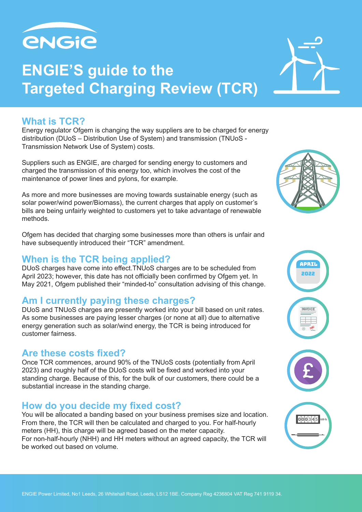

# **ENGIE'S guide to the Targeted Charging Review (TCR)**

## **What is TCR?**

Energy regulator Ofgem is changing the way suppliers are to be charged for energy distribution (DUoS – Distribution Use of System) and transmission (TNUoS - Transmission Network Use of System) costs.

Suppliers such as ENGIE, are charged for sending energy to customers and charged the transmission of this energy too, which involves the cost of the maintenance of power lines and pylons, for example.

As more and more businesses are moving towards sustainable energy (such as solar power/wind power/Biomass), the current charges that apply on customer's bills are being unfairly weighted to customers yet to take advantage of renewable methods.

Ofgem has decided that charging some businesses more than others is unfair and have subsequently introduced their "TCR" amendment.

# **When is the TCR being applied?**

DUoS charges have come into effect.TNUoS charges are to be scheduled from April 2023; however, this date has not officially been confirmed by Ofgem yet. In May 2021, Ofgem published their "minded-to" consultation advising of this change.

### **Am I currently paying these charges?**

DUoS and TNUoS charges are presently worked into your bill based on unit rates. As some businesses are paying lesser charges (or none at all) due to alternative energy generation such as solar/wind energy, the TCR is being introduced for customer fairness.

#### **Are these costs fixed?**

Once TCR commences, around 90% of the TNUoS costs (potentially from April 2023) and roughly half of the DUoS costs will be fixed and worked into your standing charge. Because of this, for the bulk of our customers, there could be a substantial increase in the standing charge.

# **How do you decide my fixed cost?**

You will be allocated a banding based on your business premises size and location. From there, the TCR will then be calculated and charged to you. For half-hourly meters (HH), this charge will be agreed based on the meter capacity. For non-half-hourly (NHH) and HH meters without an agreed capacity, the TCR will be worked out based on volume.